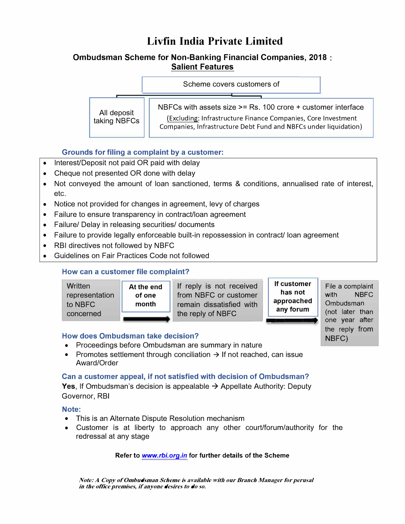# **Livfin India Private Limited**

## **Ombudsman Scheme for Non-Banking Financial Companies, 2018 Salient Features**

Scheme covers customers of

NBFCs with assets size >= Rs. 100 crore + customer interface

All deposit<br>taking NBFCs

(Excluding: Infrastructure Finance Companies, Core Investment Companies, Infrastructure Debt Fund and NBFCs under liquidation)

the reply from

**NBFC)** 

## **Grounds for filing a complaint by a customer:**

|<br>|<br>|

- Interest/Deposit not paid OR paid with delay
- Cheque not presented OR done with delay
- Not conveyed the amount of loan sanctioned, terms & conditions, annualised rate of interest, etc.
- Notice not provided for changes in agreement, levy of charges
- Failure to ensure transparency in contract/loan agreement
- Failure/ Delay in releasing securities/ documents
- Failure to provide legally enforceable built-in repossession in contract/ loan agreement
- RBI directives not followed by NBFC
- Guidelines on Fair Practices Code not followed

## **How can a customer file complaint?**

| Written<br>representation<br>to NBFC<br>concerned | At the end<br>of one<br>month | If reply is not received<br>from NBFC or customer<br>remain dissatisfied with<br>the reply of NBFC | If customer<br>has not<br>approached<br>any forum | File a complaint<br><b>NBFC</b><br>with<br>Ombudsman<br>(not later than |
|---------------------------------------------------|-------------------------------|----------------------------------------------------------------------------------------------------|---------------------------------------------------|-------------------------------------------------------------------------|
|                                                   |                               |                                                                                                    |                                                   | vear after<br>one                                                       |

### **How does Ombudsman take decision?**

- Proceedings before Ombudsman are summary in nature
- Promotes settlement through conciliation  $\rightarrow$  If not reached, can issue Award/Order

### **Can a customer appeal, if not satisfied with decision of Ombudsman?**

**Yes, If Ombudsman's decision is appealable → Appellate Authority: Deputy** Governor, RBI

### **Note:**

- This is an Alternate Dispute Resolution mechanism
- Customer is at liberty to approach any other court/forum/authority for the redressal at any stage

#### **Refer to** *www.rbi.org.in* **for further details of the Scheme**

*Note: A Copy of Ombudsman Scheme is available with our Branch Manager for perusal in the office premises, if anyone desires to do so.*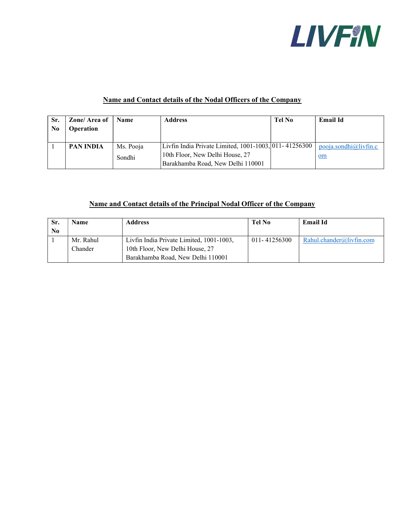

## Name and Contact details of the Nodal Officers of the Company

| Sr.<br>N <sub>0</sub> | Zone/Area of<br><b>Operation</b> | <b>Name</b> | <b>Address</b>                                        | Tel No | <b>Email Id</b>       |
|-----------------------|----------------------------------|-------------|-------------------------------------------------------|--------|-----------------------|
|                       | PAN INDIA                        | Ms. Pooja   | Livfin India Private Limited, 1001-1003, 011-41256300 |        | pooja.sondhi@livfin.c |
|                       |                                  | Sondhi      | 10th Floor, New Delhi House, 27                       |        | $om$                  |
|                       |                                  |             | Barakhamba Road, New Delhi 110001                     |        |                       |

## Name and Contact details of the Principal Nodal Officer of the Company

| Sr. | Name      | <b>Address</b>                           | Tel No       | <b>Email Id</b>            |
|-----|-----------|------------------------------------------|--------------|----------------------------|
| No  |           |                                          |              |                            |
|     | Mr. Rahul | Livfin India Private Limited, 1001-1003, | 011-41256300 | $Rahl.$ chander@livfin.com |
|     | Chander   | 10th Floor, New Delhi House, 27          |              |                            |
|     |           | Barakhamba Road, New Delhi 110001        |              |                            |